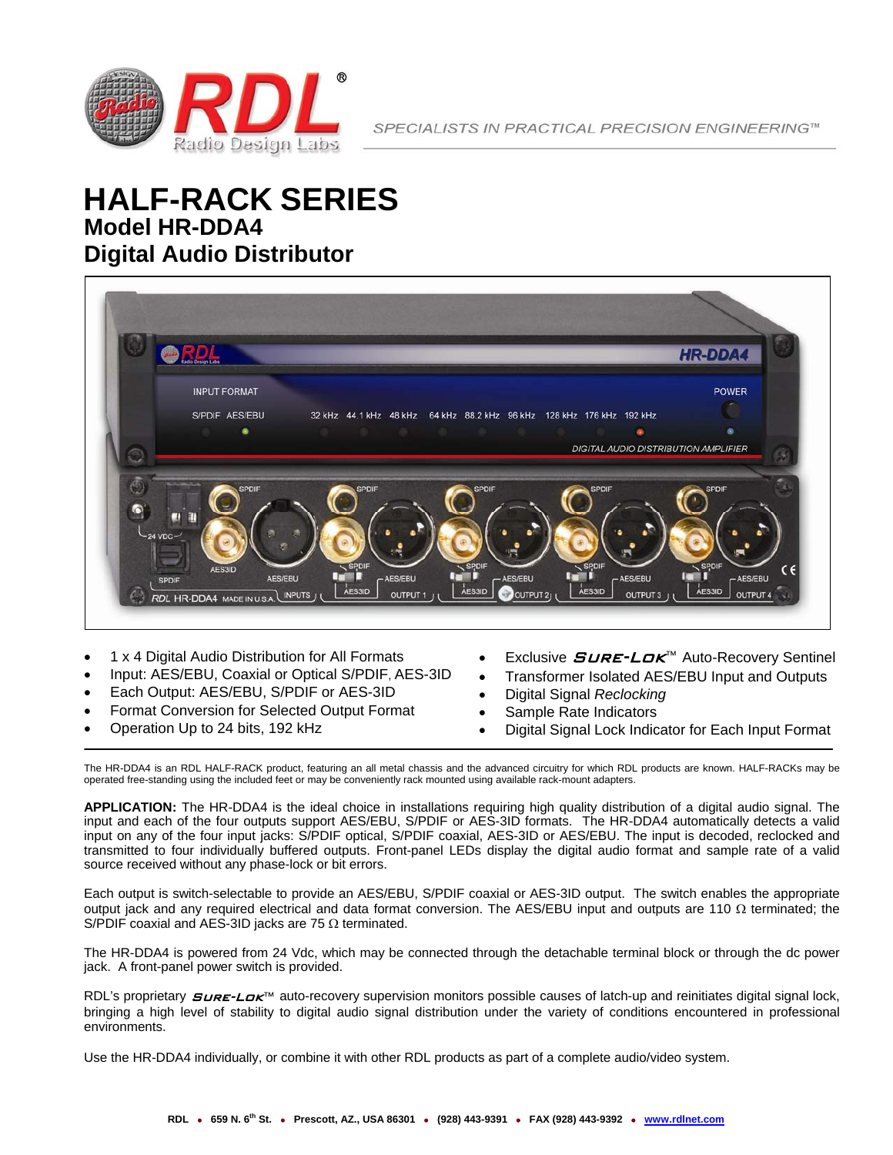

## **Model HR-DDA4 Digital Audio Distributor HALF-RACK SERIES**



- 1 x 4 Digital Audio Distribution for All Formats
- Input: AES/EBU, Coaxial or Optical S/PDIF, AES-3ID
- Each Output: AES/EBU, S/PDIF or AES-3ID
- Format Conversion for Selected Output Format
- Operation Up to 24 bits, 192 kHz
- Exclusive *SURE-LOK*™ Auto-Recovery Sentinel
- Transformer Isolated AES/EBU Input and Outputs
- Digital Signal *Reclocking*
- Sample Rate Indicators
- Digital Signal Lock Indicator for Each Input Format

The HR-DDA4 is an RDL HALF-RACK product, featuring an all metal chassis and the advanced circuitry for which RDL products are known. HALF-RACKs may be operated free-standing using the included feet or may be conveniently rack mounted using available rack-mount adapters.

**APPLICATION:** The HR-DDA4 is the ideal choice in installations requiring high quality distribution of a digital audio signal. The input and each of the four outputs support AES/EBU, S/PDIF or AES-3ID formats. The HR-DDA4 automatically detects a valid input on any of the four input jacks: S/PDIF optical, S/PDIF coaxial, AES-3ID or AES/EBU. The input is decoded, reclocked and transmitted to four individually buffered outputs. Front-panel LEDs display the digital audio format and sample rate of a valid source received without any phase-lock or bit errors.

Each output is switch-selectable to provide an AES/EBU, S/PDIF coaxial or AES-3ID output. The switch enables the appropriate output jack and any required electrical and data format conversion. The AES/EBU input and outputs are 110 Ω terminated; the S/PDIF coaxial and AES-3ID jacks are 75 Ω terminated.

The HR-DDA4 is powered from 24 Vdc, which may be connected through the detachable terminal block or through the dc power jack. A front-panel power switch is provided.

RDL's proprietary  $SURE-LOK$ <sup>m</sup> auto-recovery supervision monitors possible causes of latch-up and reinitiates digital signal lock, bringing a high level of stability to digital audio signal distribution under the variety of conditions encountered in professional environments.

Use the HR-DDA4 individually, or combine it with other RDL products as part of a complete audio/video system.